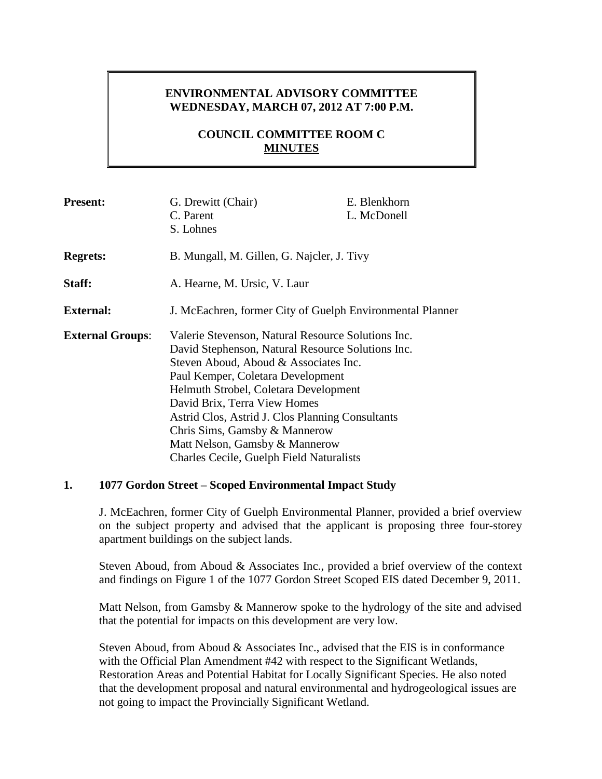# **ENVIRONMENTAL ADVISORY COMMITTEE WEDNESDAY, MARCH 07, 2012 AT 7:00 P.M.**

# **COUNCIL COMMITTEE ROOM C MINUTES**

| <b>Present:</b>         | G. Drewitt (Chair)                                        | E. Blenkhorn |
|-------------------------|-----------------------------------------------------------|--------------|
|                         | C. Parent                                                 | L. McDonell  |
|                         | S. Lohnes                                                 |              |
| <b>Regrets:</b>         | B. Mungall, M. Gillen, G. Najcler, J. Tivy                |              |
| Staff:                  | A. Hearne, M. Ursic, V. Laur                              |              |
| <b>External:</b>        | J. McEachren, former City of Guelph Environmental Planner |              |
| <b>External Groups:</b> | Valerie Stevenson, Natural Resource Solutions Inc.        |              |
|                         | David Stephenson, Natural Resource Solutions Inc.         |              |
|                         | Steven Aboud, Aboud & Associates Inc.                     |              |
|                         | Paul Kemper, Coletara Development                         |              |
|                         | Helmuth Strobel, Coletara Development                     |              |
|                         | David Brix, Terra View Homes                              |              |
|                         | Astrid Clos, Astrid J. Clos Planning Consultants          |              |
|                         | Chris Sims, Gamsby & Mannerow                             |              |
|                         | Matt Nelson, Gamsby & Mannerow                            |              |
|                         | <b>Charles Cecile, Guelph Field Naturalists</b>           |              |

### **1. 1077 Gordon Street – Scoped Environmental Impact Study**

J. McEachren, former City of Guelph Environmental Planner, provided a brief overview on the subject property and advised that the applicant is proposing three four-storey apartment buildings on the subject lands.

Steven Aboud, from Aboud & Associates Inc., provided a brief overview of the context and findings on Figure 1 of the 1077 Gordon Street Scoped EIS dated December 9, 2011.

Matt Nelson, from Gamsby & Mannerow spoke to the hydrology of the site and advised that the potential for impacts on this development are very low.

Steven Aboud, from Aboud & Associates Inc., advised that the EIS is in conformance with the Official Plan Amendment #42 with respect to the Significant Wetlands, Restoration Areas and Potential Habitat for Locally Significant Species. He also noted that the development proposal and natural environmental and hydrogeological issues are not going to impact the Provincially Significant Wetland.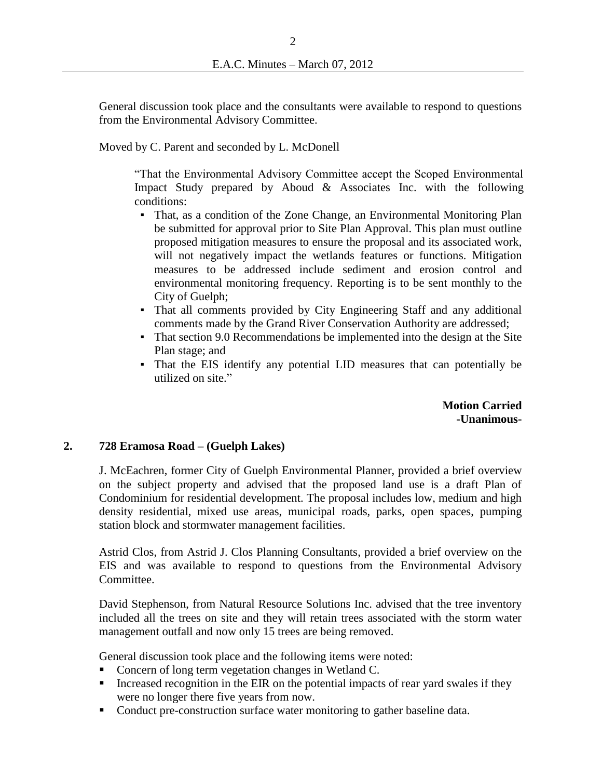General discussion took place and the consultants were available to respond to questions from the Environmental Advisory Committee.

Moved by C. Parent and seconded by L. McDonell

"That the Environmental Advisory Committee accept the Scoped Environmental Impact Study prepared by Aboud & Associates Inc. with the following conditions:

- That, as a condition of the Zone Change, an Environmental Monitoring Plan be submitted for approval prior to Site Plan Approval. This plan must outline proposed mitigation measures to ensure the proposal and its associated work, will not negatively impact the wetlands features or functions. Mitigation measures to be addressed include sediment and erosion control and environmental monitoring frequency. Reporting is to be sent monthly to the City of Guelph;
- That all comments provided by City Engineering Staff and any additional comments made by the Grand River Conservation Authority are addressed;
- **•** That section 9.0 Recommendations be implemented into the design at the Site Plan stage; and
- That the EIS identify any potential LID measures that can potentially be utilized on site."

**Motion Carried -Unanimous-**

### **2. 728 Eramosa Road – (Guelph Lakes)**

J. McEachren, former City of Guelph Environmental Planner, provided a brief overview on the subject property and advised that the proposed land use is a draft Plan of Condominium for residential development. The proposal includes low, medium and high density residential, mixed use areas, municipal roads, parks, open spaces, pumping station block and stormwater management facilities.

Astrid Clos, from Astrid J. Clos Planning Consultants, provided a brief overview on the EIS and was available to respond to questions from the Environmental Advisory Committee.

David Stephenson, from Natural Resource Solutions Inc. advised that the tree inventory included all the trees on site and they will retain trees associated with the storm water management outfall and now only 15 trees are being removed.

General discussion took place and the following items were noted:

- Concern of long term vegetation changes in Wetland C.
- Increased recognition in the EIR on the potential impacts of rear yard swales if they were no longer there five years from now.
- Conduct pre-construction surface water monitoring to gather baseline data.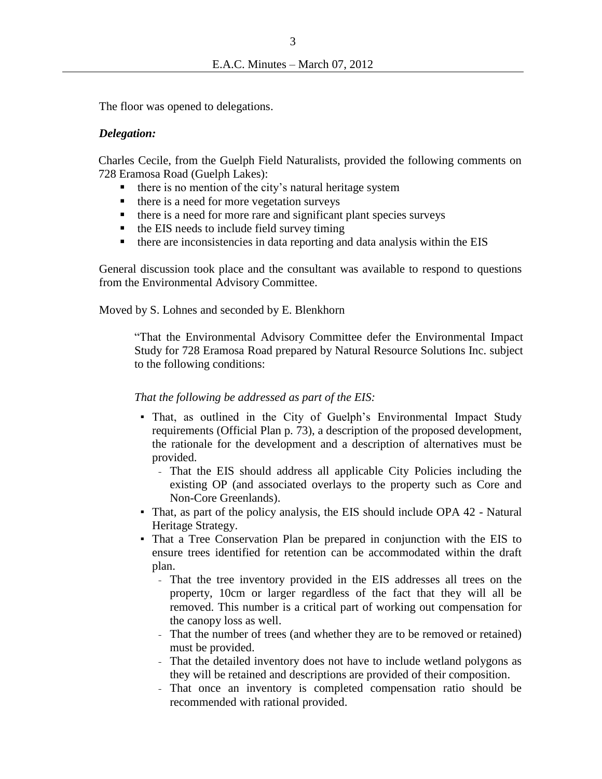The floor was opened to delegations.

#### *Delegation:*

Charles Cecile, from the Guelph Field Naturalists, provided the following comments on 728 Eramosa Road (Guelph Lakes):

- there is no mention of the city's natural heritage system
- $\blacksquare$  there is a need for more vegetation surveys
- $\blacksquare$  there is a need for more rare and significant plant species surveys
- $\blacksquare$  the EIS needs to include field survey timing
- there are inconsistencies in data reporting and data analysis within the EIS

General discussion took place and the consultant was available to respond to questions from the Environmental Advisory Committee.

Moved by S. Lohnes and seconded by E. Blenkhorn

"That the Environmental Advisory Committee defer the Environmental Impact Study for 728 Eramosa Road prepared by Natural Resource Solutions Inc. subject to the following conditions:

#### *That the following be addressed as part of the EIS:*

- That, as outlined in the City of Guelph's Environmental Impact Study requirements (Official Plan p. 73), a description of the proposed development, the rationale for the development and a description of alternatives must be provided.
	- That the EIS should address all applicable City Policies including the existing OP (and associated overlays to the property such as Core and Non-Core Greenlands).
- That, as part of the policy analysis, the EIS should include OPA 42 Natural Heritage Strategy.
- That a Tree Conservation Plan be prepared in conjunction with the EIS to ensure trees identified for retention can be accommodated within the draft plan.
	- That the tree inventory provided in the EIS addresses all trees on the property, 10cm or larger regardless of the fact that they will all be removed. This number is a critical part of working out compensation for the canopy loss as well.
	- That the number of trees (and whether they are to be removed or retained) must be provided.
	- That the detailed inventory does not have to include wetland polygons as they will be retained and descriptions are provided of their composition.
	- That once an inventory is completed compensation ratio should be recommended with rational provided.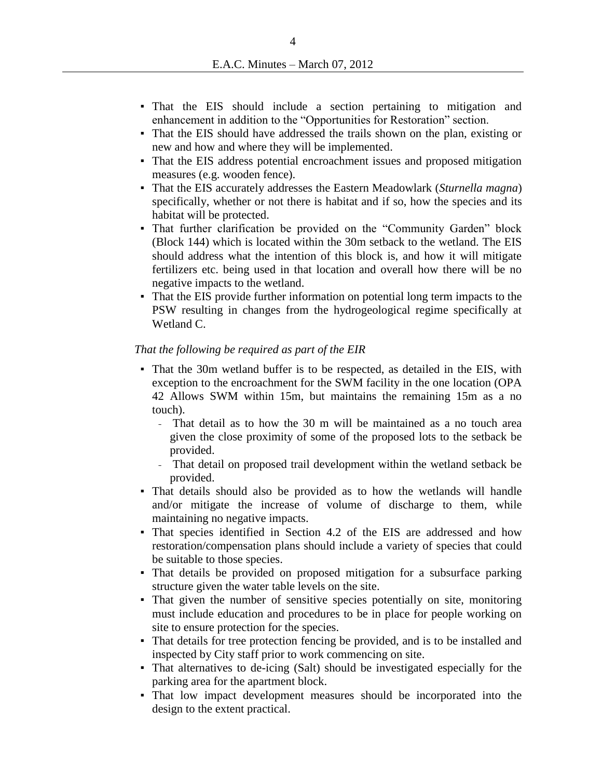- That the EIS should include a section pertaining to mitigation and enhancement in addition to the "Opportunities for Restoration" section.
- That the EIS should have addressed the trails shown on the plan, existing or new and how and where they will be implemented.
- That the EIS address potential encroachment issues and proposed mitigation measures (e.g. wooden fence).
- That the EIS accurately addresses the Eastern Meadowlark (*Sturnella magna*) specifically, whether or not there is habitat and if so, how the species and its habitat will be protected.
- That further clarification be provided on the "Community Garden" block (Block 144) which is located within the 30m setback to the wetland. The EIS should address what the intention of this block is, and how it will mitigate fertilizers etc. being used in that location and overall how there will be no negative impacts to the wetland.
- That the EIS provide further information on potential long term impacts to the PSW resulting in changes from the hydrogeological regime specifically at Wetland C.

#### *That the following be required as part of the EIR*

- That the 30m wetland buffer is to be respected, as detailed in the EIS, with exception to the encroachment for the SWM facility in the one location (OPA 42 Allows SWM within 15m, but maintains the remaining 15m as a no touch).
	- That detail as to how the 30 m will be maintained as a no touch area given the close proximity of some of the proposed lots to the setback be provided.
	- That detail on proposed trail development within the wetland setback be provided.
- That details should also be provided as to how the wetlands will handle and/or mitigate the increase of volume of discharge to them, while maintaining no negative impacts.
- That species identified in Section 4.2 of the EIS are addressed and how restoration/compensation plans should include a variety of species that could be suitable to those species.
- That details be provided on proposed mitigation for a subsurface parking structure given the water table levels on the site.
- That given the number of sensitive species potentially on site, monitoring must include education and procedures to be in place for people working on site to ensure protection for the species.
- That details for tree protection fencing be provided, and is to be installed and inspected by City staff prior to work commencing on site.
- That alternatives to de-icing (Salt) should be investigated especially for the parking area for the apartment block.
- That low impact development measures should be incorporated into the design to the extent practical.